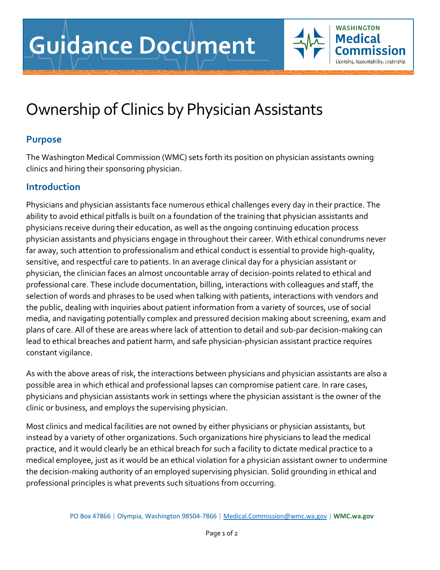## Ownership of Clinics by Physician Assistants

## **Purpose**

The Washington Medical Commission (WMC) sets forth its position on physician assistants owning clinics and hiring their sponsoring physician.

**WASHINGTON Medical** 

Licensing. Accountability. Leadership.

## **Introduction**

Physicians and physician assistants face numerous ethical challenges every day in their practice. The ability to avoid ethical pitfalls is built on a foundation of the training that physician assistants and physicians receive during their education, as well as the ongoing continuing education process physician assistants and physicians engage in throughout their career. With ethical conundrums never far away, such attention to professionalism and ethical conduct is essential to provide high-quality, sensitive, and respectful care to patients. In an average clinical day for a physician assistant or physician, the clinician faces an almost uncountable array of decision-points related to ethical and professional care. These include documentation, billing, interactions with colleagues and staff, the selection of words and phrases to be used when talking with patients, interactions with vendors and the public, dealing with inquiries about patient information from a variety of sources, use of social media, and navigating potentially complex and pressured decision making about screening, exam and plans of care. All of these are areas where lack of attention to detail and sub-par decision-making can lead to ethical breaches and patient harm, and safe physician-physician assistant practice requires constant vigilance.

As with the above areas of risk, the interactions between physicians and physician assistants are also a possible area in which ethical and professional lapses can compromise patient care. In rare cases, physicians and physician assistants work in settings where the physician assistant is the owner of the clinic or business, and employs the supervising physician.

Most clinics and medical facilities are not owned by either physicians or physician assistants, but instead by a variety of other organizations. Such organizations hire physicians to lead the medical practice, and it would clearly be an ethical breach for such a facility to dictate medical practice to a medical employee, just as it would be an ethical violation for a physician assistant owner to undermine the decision-making authority of an employed supervising physician. Solid grounding in ethical and professional principles is what prevents such situations from occurring.